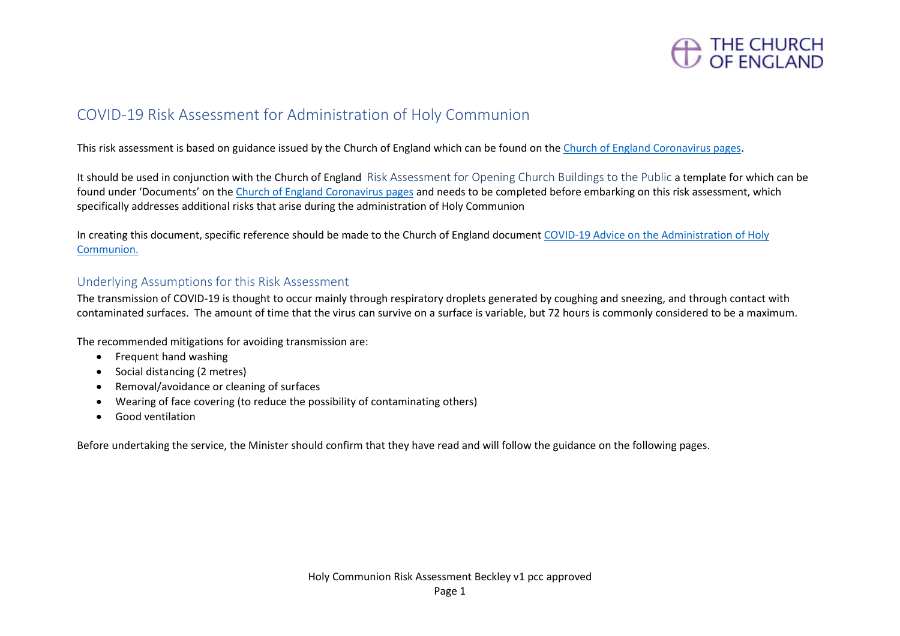

## COVID-19 Risk Assessment for Administration of Holy Communion

This risk assessment is based on guidance issued by the Church of England which can be found on the [Church of England Coronavirus pages.](https://www.churchofengland.org/more/media-centre/coronavirus-covid-19-guidance-churches)

It should be used in conjunction with the Church of England Risk Assessment for Opening Church Buildings to the Public a template for which can be found under 'Documents' on th[e Church of England Coronavirus pages](https://www.churchofengland.org/more/media-centre/coronavirus-covid-19-guidance-churches) and needs to be completed before embarking on this risk assessment, which specifically addresses additional risks that arise during the administration of Holy Communion

In creating this document, specific reference should be made to the Church of England document [COVID-19 Advice on the Administration of Holy](https://mcusercontent.com/14501d5eebc3e98fa3015a290/files/4749c383-5f08-434a-8fbd-beabdcb1d189/Coronavirus_Advice_on_the_Administration_of_Holy_Communion_v3.0.pdf)  [Communion.](https://mcusercontent.com/14501d5eebc3e98fa3015a290/files/4749c383-5f08-434a-8fbd-beabdcb1d189/Coronavirus_Advice_on_the_Administration_of_Holy_Communion_v3.0.pdf)

### Underlying Assumptions for this Risk Assessment

The transmission of COVID-19 is thought to occur mainly through respiratory droplets generated by coughing and sneezing, and through contact with contaminated surfaces. The amount of time that the virus can survive on a surface is variable, but 72 hours is commonly considered to be a maximum.

The recommended mitigations for avoiding transmission are:

- Frequent hand washing
- Social distancing (2 metres)
- Removal/avoidance or cleaning of surfaces
- Wearing of face covering (to reduce the possibility of contaminating others)
- Good ventilation

Before undertaking the service, the Minister should confirm that they have read and will follow the guidance on the following pages.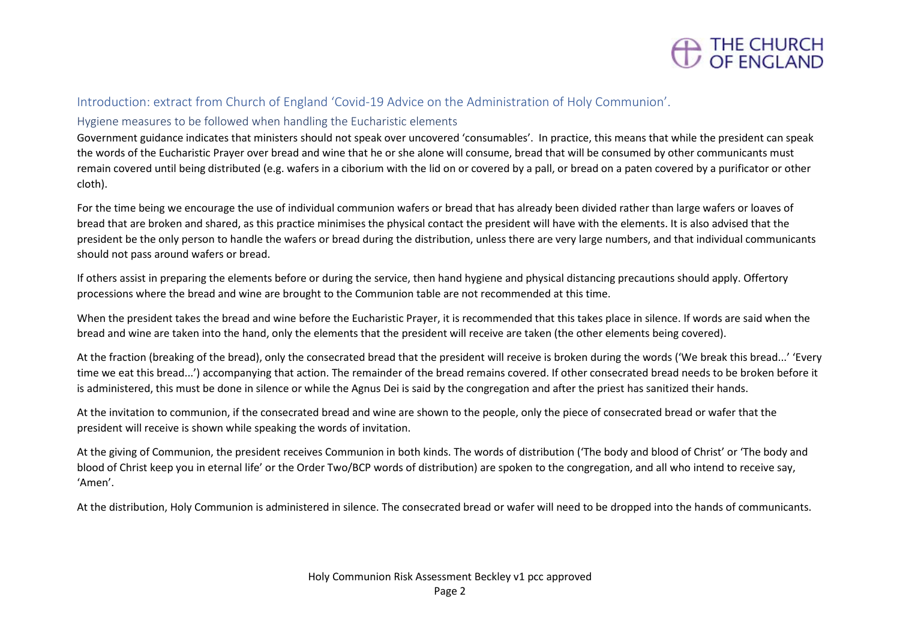

#### Introduction: extract from Church of England 'Covid-19 Advice on the Administration of Holy Communion'.

#### Hygiene measures to be followed when handling the Eucharistic elements

Government guidance indicates that ministers should not speak over uncovered 'consumables'. In practice, this means that while the president can speak the words of the Eucharistic Prayer over bread and wine that he or she alone will consume, bread that will be consumed by other communicants must remain covered until being distributed (e.g. wafers in a ciborium with the lid on or covered by a pall, or bread on a paten covered by a purificator or other cloth).

For the time being we encourage the use of individual communion wafers or bread that has already been divided rather than large wafers or loaves of bread that are broken and shared, as this practice minimises the physical contact the president will have with the elements. It is also advised that the president be the only person to handle the wafers or bread during the distribution, unless there are very large numbers, and that individual communicants should not pass around wafers or bread.

If others assist in preparing the elements before or during the service, then hand hygiene and physical distancing precautions should apply. Offertory processions where the bread and wine are brought to the Communion table are not recommended at this time.

When the president takes the bread and wine before the Eucharistic Prayer, it is recommended that this takes place in silence. If words are said when the bread and wine are taken into the hand, only the elements that the president will receive are taken (the other elements being covered).

At the fraction (breaking of the bread), only the consecrated bread that the president will receive is broken during the words ('We break this bread...' 'Every time we eat this bread...') accompanying that action. The remainder of the bread remains covered. If other consecrated bread needs to be broken before it is administered, this must be done in silence or while the Agnus Dei is said by the congregation and after the priest has sanitized their hands.

At the invitation to communion, if the consecrated bread and wine are shown to the people, only the piece of consecrated bread or wafer that the president will receive is shown while speaking the words of invitation.

At the giving of Communion, the president receives Communion in both kinds. The words of distribution ('The body and blood of Christ' or 'The body and blood of Christ keep you in eternal life' or the Order Two/BCP words of distribution) are spoken to the congregation, and all who intend to receive say, 'Amen'.

At the distribution, Holy Communion is administered in silence. The consecrated bread or wafer will need to be dropped into the hands of communicants.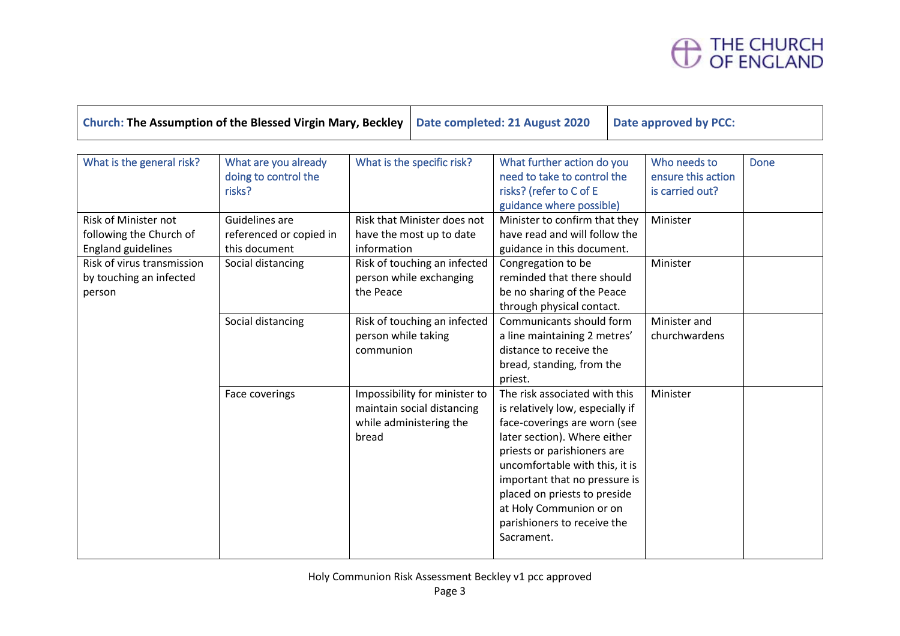# THE CHURCH<br>OF ENGLAND

| Church: The Assumption of the Blessed Virgin Mary, Beckley   Date completed: 21 August 2020   Date approved by PCC: |  |  |
|---------------------------------------------------------------------------------------------------------------------|--|--|
|---------------------------------------------------------------------------------------------------------------------|--|--|

| What is the general risk?   | What are you already    | What is the specific risk?    | What further action do you       | Who needs to       | Done |
|-----------------------------|-------------------------|-------------------------------|----------------------------------|--------------------|------|
|                             | doing to control the    |                               | need to take to control the      | ensure this action |      |
|                             | risks?                  |                               | risks? (refer to C of E          | is carried out?    |      |
|                             |                         |                               | guidance where possible)         |                    |      |
| <b>Risk of Minister not</b> | Guidelines are          | Risk that Minister does not   | Minister to confirm that they    | Minister           |      |
| following the Church of     | referenced or copied in | have the most up to date      | have read and will follow the    |                    |      |
| <b>England guidelines</b>   | this document           | information                   | guidance in this document.       |                    |      |
| Risk of virus transmission  | Social distancing       | Risk of touching an infected  | Congregation to be               | Minister           |      |
| by touching an infected     |                         | person while exchanging       | reminded that there should       |                    |      |
| person                      |                         | the Peace                     | be no sharing of the Peace       |                    |      |
|                             |                         |                               | through physical contact.        |                    |      |
|                             | Social distancing       | Risk of touching an infected  | Communicants should form         | Minister and       |      |
|                             |                         | person while taking           | a line maintaining 2 metres'     | churchwardens      |      |
|                             |                         | communion                     | distance to receive the          |                    |      |
|                             |                         |                               | bread, standing, from the        |                    |      |
|                             |                         |                               | priest.                          |                    |      |
|                             | Face coverings          | Impossibility for minister to | The risk associated with this    | Minister           |      |
|                             |                         | maintain social distancing    | is relatively low, especially if |                    |      |
|                             |                         | while administering the       | face-coverings are worn (see     |                    |      |
|                             |                         | bread                         | later section). Where either     |                    |      |
|                             |                         |                               | priests or parishioners are      |                    |      |
|                             |                         |                               | uncomfortable with this, it is   |                    |      |
|                             |                         |                               | important that no pressure is    |                    |      |
|                             |                         |                               | placed on priests to preside     |                    |      |
|                             |                         |                               | at Holy Communion or on          |                    |      |
|                             |                         |                               | parishioners to receive the      |                    |      |
|                             |                         |                               | Sacrament.                       |                    |      |
|                             |                         |                               |                                  |                    |      |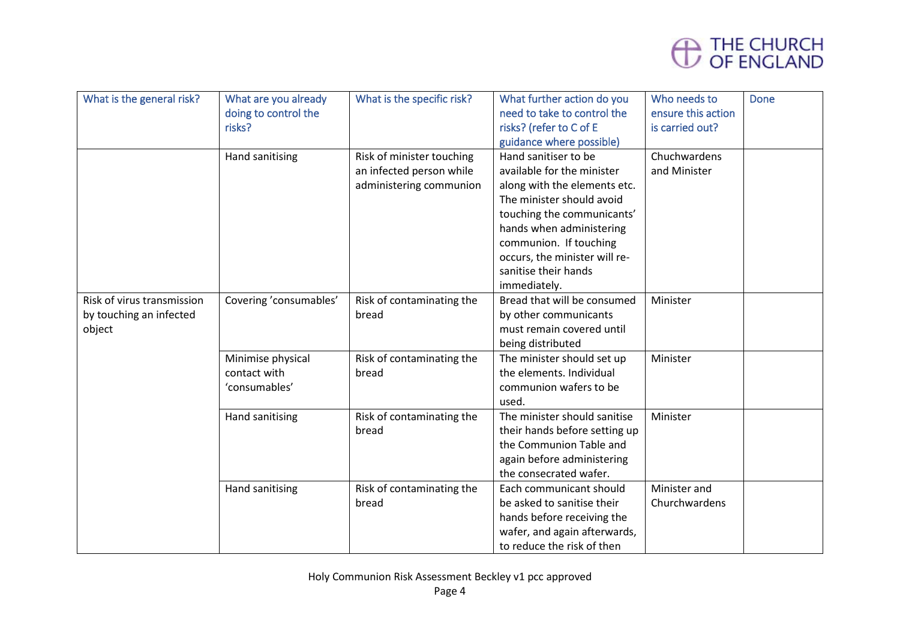

| What is the general risk?  | What are you already   | What is the specific risk? | What further action do you    | Who needs to       | <b>Done</b> |
|----------------------------|------------------------|----------------------------|-------------------------------|--------------------|-------------|
|                            | doing to control the   |                            | need to take to control the   | ensure this action |             |
|                            | risks?                 |                            | risks? (refer to C of E       | is carried out?    |             |
|                            |                        |                            | guidance where possible)      |                    |             |
|                            | Hand sanitising        | Risk of minister touching  | Hand sanitiser to be          | Chuchwardens       |             |
|                            |                        | an infected person while   | available for the minister    | and Minister       |             |
|                            |                        | administering communion    | along with the elements etc.  |                    |             |
|                            |                        |                            | The minister should avoid     |                    |             |
|                            |                        |                            | touching the communicants'    |                    |             |
|                            |                        |                            | hands when administering      |                    |             |
|                            |                        |                            | communion. If touching        |                    |             |
|                            |                        |                            | occurs, the minister will re- |                    |             |
|                            |                        |                            | sanitise their hands          |                    |             |
|                            |                        |                            | immediately.                  |                    |             |
| Risk of virus transmission | Covering 'consumables' | Risk of contaminating the  | Bread that will be consumed   | Minister           |             |
| by touching an infected    |                        | bread                      | by other communicants         |                    |             |
| object                     |                        |                            | must remain covered until     |                    |             |
|                            |                        |                            | being distributed             |                    |             |
|                            | Minimise physical      | Risk of contaminating the  | The minister should set up    | Minister           |             |
|                            | contact with           | bread                      | the elements. Individual      |                    |             |
|                            | 'consumables'          |                            | communion wafers to be        |                    |             |
|                            |                        |                            | used.                         |                    |             |
|                            | Hand sanitising        | Risk of contaminating the  | The minister should sanitise  | Minister           |             |
|                            |                        | bread                      | their hands before setting up |                    |             |
|                            |                        |                            | the Communion Table and       |                    |             |
|                            |                        |                            | again before administering    |                    |             |
|                            |                        |                            | the consecrated wafer.        |                    |             |
|                            | Hand sanitising        | Risk of contaminating the  | Each communicant should       | Minister and       |             |
|                            |                        | bread                      | be asked to sanitise their    | Churchwardens      |             |
|                            |                        |                            | hands before receiving the    |                    |             |
|                            |                        |                            | wafer, and again afterwards,  |                    |             |
|                            |                        |                            | to reduce the risk of then    |                    |             |